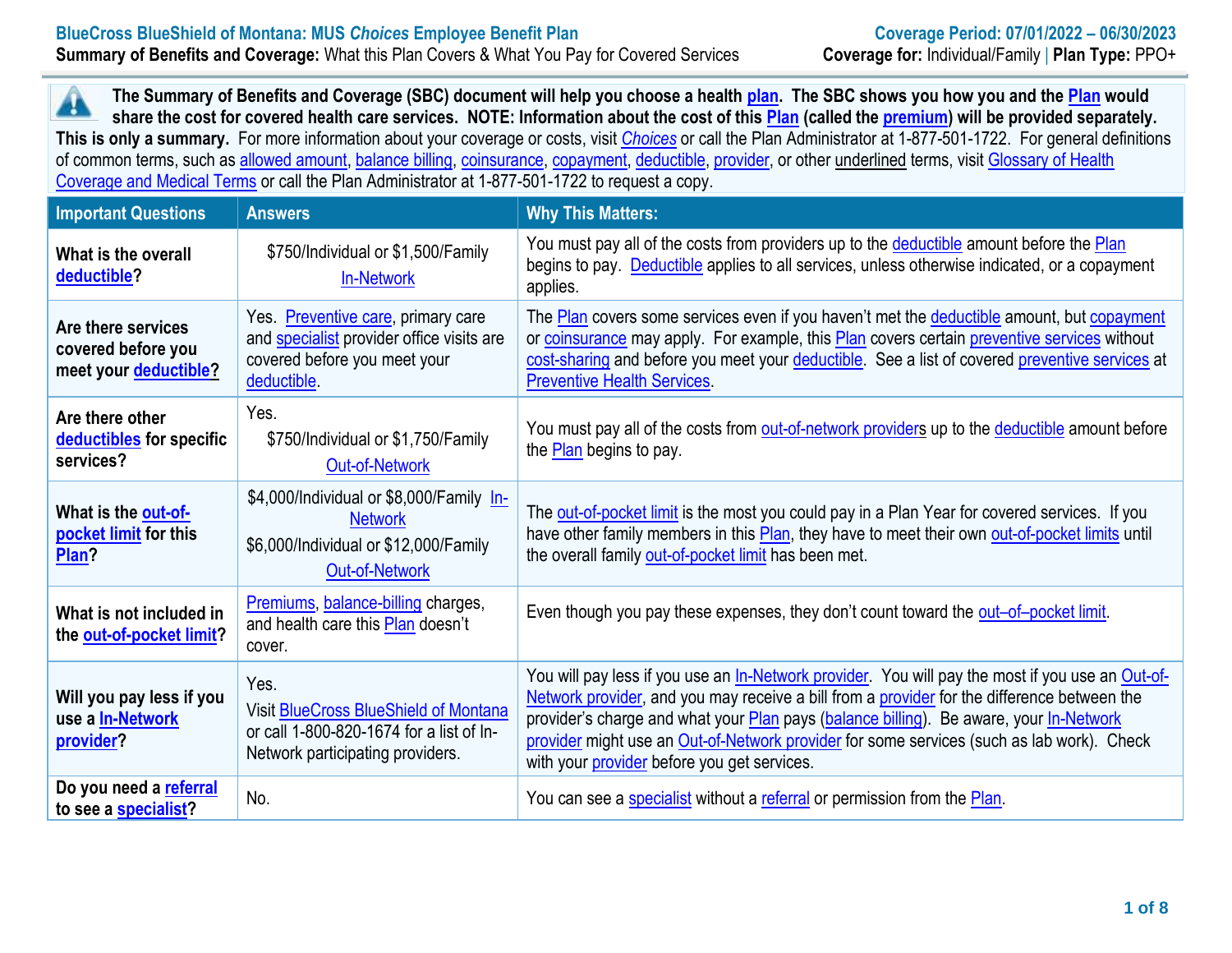A  **The Summary of Benefits and Coverage (SBC) document will help you choose a health [plan.](https://www.healthcare.gov/sbc-glossary/#plan) The SBC shows you how you and the [Plan](https://www.healthcare.gov/sbc-glossary/#plan) would share the cost for covered health care services. NOTE: Information about the cost of this [Plan](https://www.healthcare.gov/sbc-glossary/#plan) (called the [premium\)](https://www.healthcare.gov/sbc-glossary/#premium) will be provided separately. This is only a summary.** For more information about your coverage or costs, visit *[Choices](https://choices.mus.edu/)* or call the Plan Administrator at 1-877-501-1722. For general definitions of common terms, such as [allowed amount,](https://www.healthcare.gov/sbc-glossary/#allowed-amount) [balance billing,](https://www.healthcare.gov/sbc-glossary/#balance-billing) [coinsurance,](https://www.healthcare.gov/sbc-glossary/#coinsurance) [copayment,](https://www.healthcare.gov/sbc-glossary/#copayment) [deductible,](https://www.healthcare.gov/sbc-glossary/#deductible) [provider,](https://www.healthcare.gov/sbc-glossary/#provider) or other underlined terms, visit [Glossary of Health](https://www.cms.gov/CCIIO/Resources/Forms-Reports-and-Other-Resources/Downloads/Uniform-Glossary-01-2020.pdf)  [Coverage and Medical Terms](https://www.cms.gov/CCIIO/Resources/Forms-Reports-and-Other-Resources/Downloads/Uniform-Glossary-01-2020.pdf) or call the Plan Administrator at 1-877-501-1722 to request a copy.

| <b>Important Questions</b>                                        | <b>Answers</b>                                                                                                                        | <b>Why This Matters:</b>                                                                                                                                                                                                                                                                                                                                                                                                                     |
|-------------------------------------------------------------------|---------------------------------------------------------------------------------------------------------------------------------------|----------------------------------------------------------------------------------------------------------------------------------------------------------------------------------------------------------------------------------------------------------------------------------------------------------------------------------------------------------------------------------------------------------------------------------------------|
| What is the overall<br>deductible?                                | \$750/Individual or \$1,500/Family<br><b>In-Network</b>                                                                               | You must pay all of the costs from providers up to the deductible amount before the Plan<br>begins to pay. Deductible applies to all services, unless otherwise indicated, or a copayment<br>applies.                                                                                                                                                                                                                                        |
| Are there services<br>covered before you<br>meet your deductible? | Yes. Preventive care, primary care<br>and <b>specialist</b> provider office visits are<br>covered before you meet your<br>deductible. | The Plan covers some services even if you haven't met the deductible amount, but copayment<br>or coinsurance may apply. For example, this Plan covers certain preventive services without<br>cost-sharing and before you meet your deductible. See a list of covered preventive services at<br><b>Preventive Health Services</b>                                                                                                             |
| Are there other<br>deductibles for specific<br>services?          | Yes.<br>\$750/Individual or \$1,750/Family<br><b>Out-of-Network</b>                                                                   | You must pay all of the costs from out-of-network providers up to the deductible amount before<br>the <b>Plan</b> begins to pay.                                                                                                                                                                                                                                                                                                             |
| What is the out-of-<br>pocket limit for this<br>Plan?             | \$4,000/Individual or \$8,000/Family In-<br><b>Network</b><br>\$6,000/Individual or \$12,000/Family<br><b>Out-of-Network</b>          | The out-of-pocket limit is the most you could pay in a Plan Year for covered services. If you<br>have other family members in this Plan, they have to meet their own out-of-pocket limits until<br>the overall family out-of-pocket limit has been met.                                                                                                                                                                                      |
| What is not included in<br>the out-of-pocket limit?               | Premiums, balance-billing charges,<br>and health care this Plan doesn't<br>cover.                                                     | Even though you pay these expenses, they don't count toward the out-of-pocket limit.                                                                                                                                                                                                                                                                                                                                                         |
| Will you pay less if you<br>use a <b>In-Network</b><br>provider?  | Yes.<br><b>Visit BlueCross BlueShield of Montana</b><br>or call 1-800-820-1674 for a list of In-<br>Network participating providers.  | You will pay less if you use an In-Network provider. You will pay the most if you use an Out-of-<br>Network provider, and you may receive a bill from a provider for the difference between the<br>provider's charge and what your Plan pays (balance billing). Be aware, your In-Network<br>provider might use an Out-of-Network provider for some services (such as lab work). Check<br>with your <i>provider</i> before you get services. |
| Do you need a referral<br>to see a specialist?                    | No.                                                                                                                                   | You can see a specialist without a referral or permission from the Plan.                                                                                                                                                                                                                                                                                                                                                                     |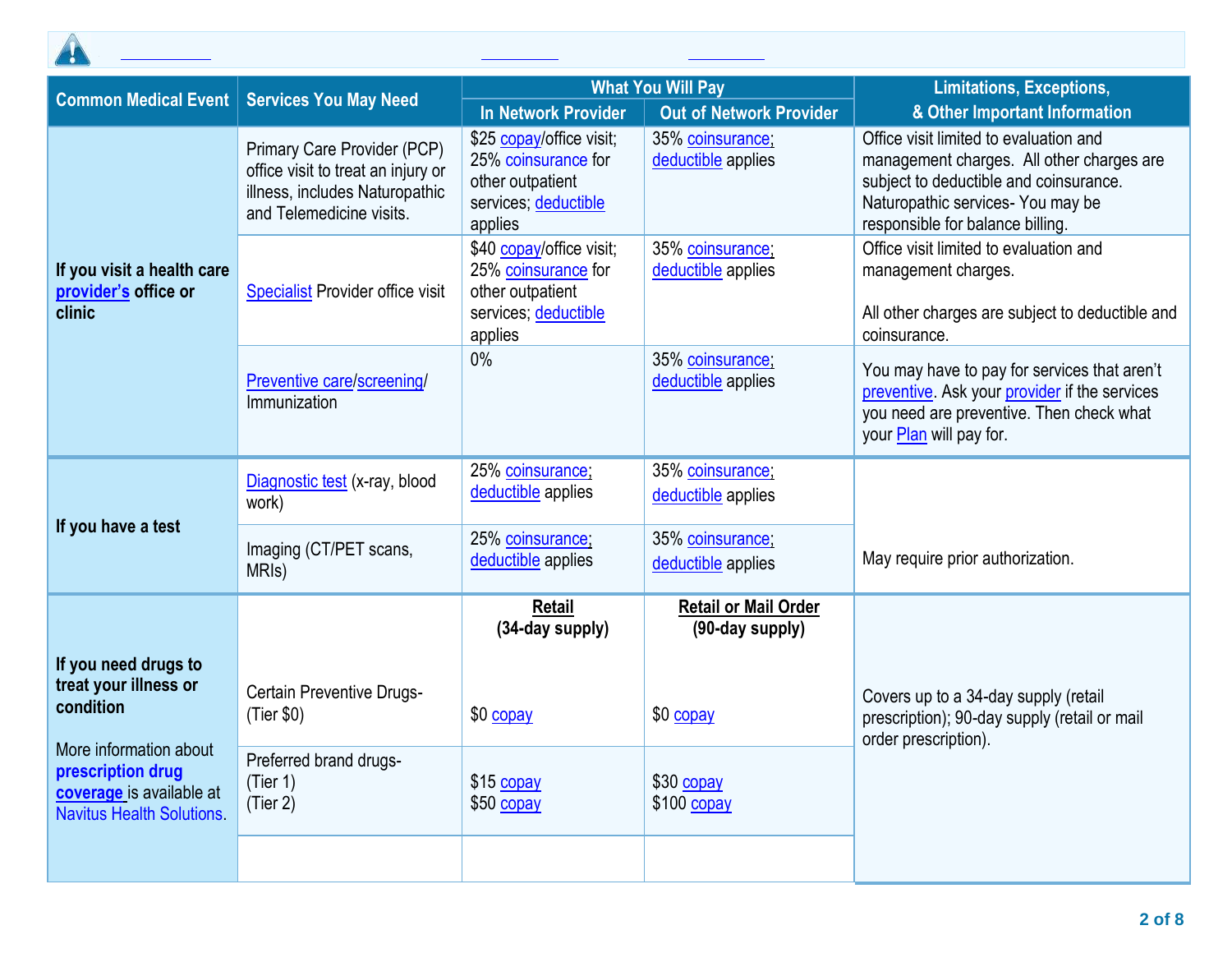

| <b>Common Medical Event</b>                                                          | <b>Services You May Need</b>                                                                                                    | <b>What You Will Pay</b>                                                                               |                                                | <b>Limitations, Exceptions,</b>                                                                                                                                                                        |  |
|--------------------------------------------------------------------------------------|---------------------------------------------------------------------------------------------------------------------------------|--------------------------------------------------------------------------------------------------------|------------------------------------------------|--------------------------------------------------------------------------------------------------------------------------------------------------------------------------------------------------------|--|
|                                                                                      |                                                                                                                                 | <b>In Network Provider</b>                                                                             | <b>Out of Network Provider</b>                 | & Other Important Information                                                                                                                                                                          |  |
| If you visit a health care<br>provider's office or<br>clinic                         | Primary Care Provider (PCP)<br>office visit to treat an injury or<br>illness, includes Naturopathic<br>and Telemedicine visits. | \$25 copay/office visit;<br>25% coinsurance for<br>other outpatient<br>services; deductible<br>applies | 35% coinsurance;<br>deductible applies         | Office visit limited to evaluation and<br>management charges. All other charges are<br>subject to deductible and coinsurance.<br>Naturopathic services- You may be<br>responsible for balance billing. |  |
|                                                                                      | <b>Specialist Provider office visit</b>                                                                                         | \$40 copay/office visit;<br>25% coinsurance for<br>other outpatient<br>services; deductible<br>applies | 35% coinsurance;<br>deductible applies         | Office visit limited to evaluation and<br>management charges.<br>All other charges are subject to deductible and<br>coinsurance.                                                                       |  |
|                                                                                      | Preventive care/screening/<br>Immunization                                                                                      | 0%                                                                                                     | 35% coinsurance;<br>deductible applies         | You may have to pay for services that aren't<br>preventive. Ask your provider if the services<br>you need are preventive. Then check what<br>your Plan will pay for.                                   |  |
| If you have a test                                                                   | Diagnostic test (x-ray, blood<br>work)                                                                                          | 25% coinsurance;<br>deductible applies                                                                 | 35% coinsurance;<br>deductible applies         |                                                                                                                                                                                                        |  |
|                                                                                      | Imaging (CT/PET scans,<br>MRI <sub>s</sub> )                                                                                    | 25% coinsurance;<br>deductible applies                                                                 | 35% coinsurance;<br>deductible applies         | May require prior authorization.                                                                                                                                                                       |  |
|                                                                                      |                                                                                                                                 | <b>Retail</b><br>(34-day supply)                                                                       | <b>Retail or Mail Order</b><br>(90-day supply) |                                                                                                                                                                                                        |  |
| If you need drugs to<br>treat your illness or<br>condition<br>More information about | <b>Certain Preventive Drugs-</b><br>(Tier \$0)<br>Preferred brand drugs-                                                        | \$0 copay                                                                                              | \$0 copay                                      | Covers up to a 34-day supply (retail<br>prescription); 90-day supply (retail or mail<br>order prescription).                                                                                           |  |
| prescription drug<br>coverage is available at<br><b>Navitus Health Solutions</b>     | (Tier 1)<br>(Tier 2)                                                                                                            | \$15 copay<br>\$50 copay                                                                               | \$30 copay<br>$$100$ copay                     |                                                                                                                                                                                                        |  |

All **[coinsurance](https://www.healthcare.gov/sbc-glossary/#coinsurance)** costs shown in this chart are after your **[deductible](https://www.healthcare.gov/sbc-glossary/#deductible)** has been met, if a **[deductible](https://www.healthcare.gov/sbc-glossary/#deductible)** applies.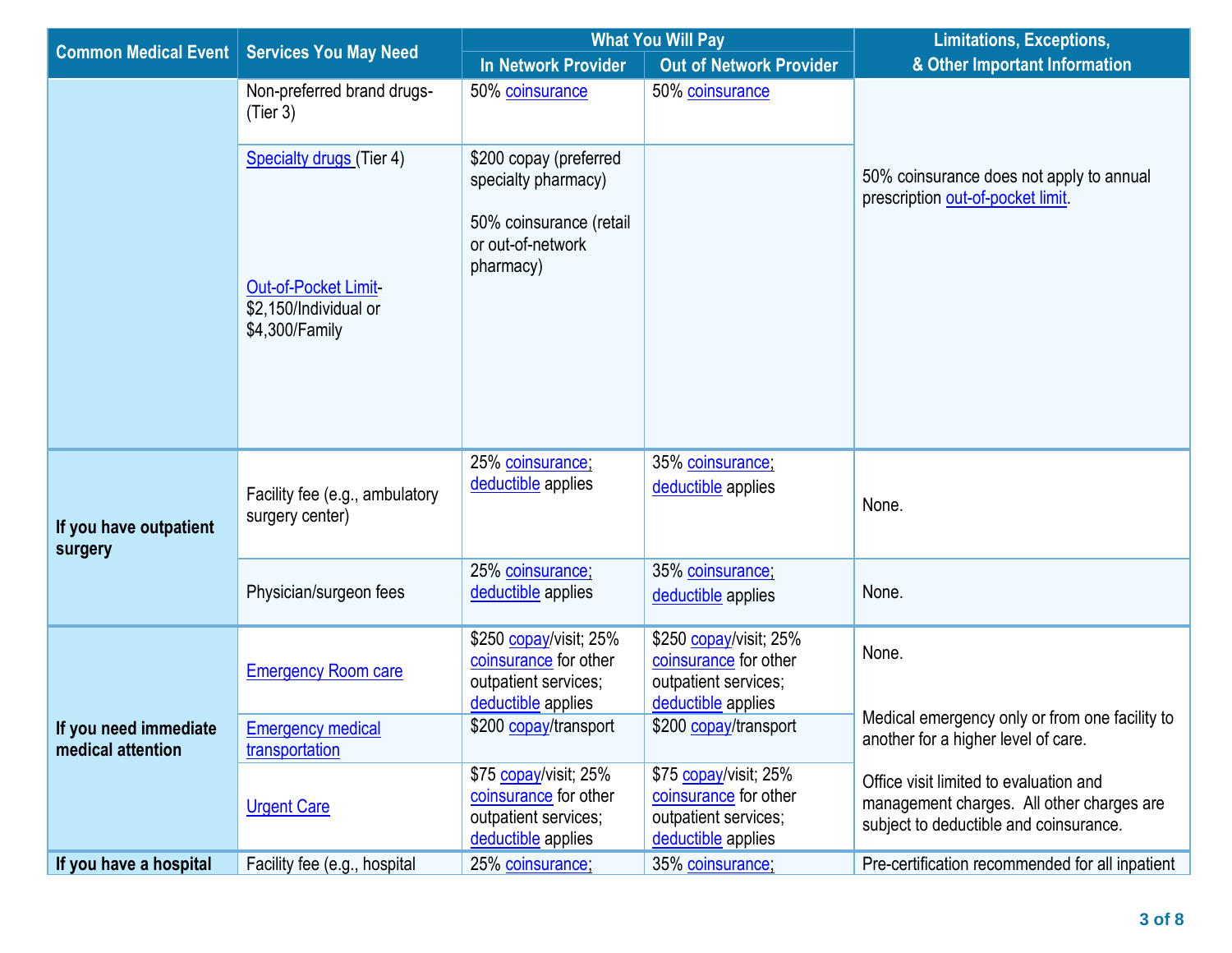| <b>Common Medical Event</b>                | <b>Services You May Need</b>                                   | <b>What You Will Pay</b>                                                                      |                                                                                               | <b>Limitations, Exceptions,</b>                                                                                               |  |
|--------------------------------------------|----------------------------------------------------------------|-----------------------------------------------------------------------------------------------|-----------------------------------------------------------------------------------------------|-------------------------------------------------------------------------------------------------------------------------------|--|
|                                            |                                                                | <b>In Network Provider</b>                                                                    | <b>Out of Network Provider</b>                                                                | & Other Important Information                                                                                                 |  |
|                                            | Non-preferred brand drugs-<br>(Tier 3)                         | 50% coinsurance                                                                               | 50% coinsurance                                                                               |                                                                                                                               |  |
|                                            | <b>Specialty drugs (Tier 4)</b>                                | \$200 copay (preferred<br>specialty pharmacy)                                                 |                                                                                               | 50% coinsurance does not apply to annual<br>prescription out-of-pocket limit.                                                 |  |
|                                            | Out-of-Pocket Limit<br>\$2,150/Individual or<br>\$4,300/Family | 50% coinsurance (retail<br>or out-of-network<br>pharmacy)                                     |                                                                                               |                                                                                                                               |  |
| If you have outpatient<br>surgery          | Facility fee (e.g., ambulatory<br>surgery center)              | 25% coinsurance;<br>deductible applies                                                        | 35% coinsurance;<br>deductible applies                                                        | None.                                                                                                                         |  |
|                                            | Physician/surgeon fees                                         | 25% coinsurance;<br>deductible applies                                                        | 35% coinsurance;<br>deductible applies                                                        | None.                                                                                                                         |  |
| If you need immediate<br>medical attention | <b>Emergency Room care</b>                                     | \$250 copay/visit; 25%<br>coinsurance for other<br>outpatient services;<br>deductible applies | \$250 copay/visit; 25%<br>coinsurance for other<br>outpatient services;<br>deductible applies | None.                                                                                                                         |  |
|                                            | <b>Emergency medical</b><br>transportation                     | \$200 copay/transport                                                                         | \$200 copay/transport                                                                         | Medical emergency only or from one facility to<br>another for a higher level of care.                                         |  |
|                                            | <b>Urgent Care</b>                                             | \$75 copay/visit; 25%<br>coinsurance for other<br>outpatient services;<br>deductible applies  | \$75 copay/visit; 25%<br>coinsurance for other<br>outpatient services;<br>deductible applies  | Office visit limited to evaluation and<br>management charges. All other charges are<br>subject to deductible and coinsurance. |  |
| If you have a hospital                     | Facility fee (e.g., hospital                                   | 25% coinsurance;                                                                              | 35% coinsurance;                                                                              | Pre-certification recommended for all inpatient                                                                               |  |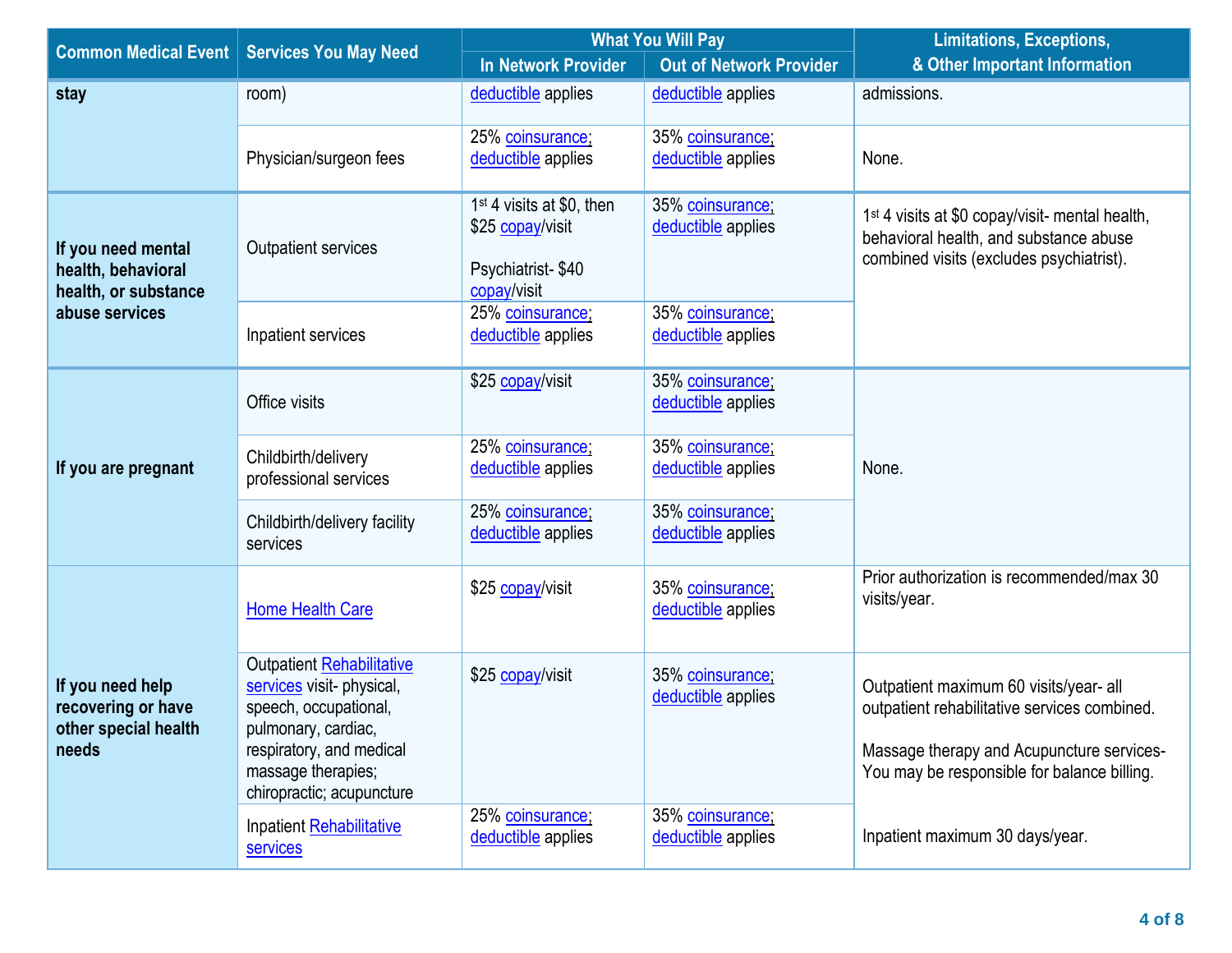| <b>Common Medical Event</b>                                             | <b>Services You May Need</b>                                                                                                                                                          | <b>What You Will Pay</b>                                                                      |                                        | <b>Limitations, Exceptions,</b>                                                                                                                                                    |  |
|-------------------------------------------------------------------------|---------------------------------------------------------------------------------------------------------------------------------------------------------------------------------------|-----------------------------------------------------------------------------------------------|----------------------------------------|------------------------------------------------------------------------------------------------------------------------------------------------------------------------------------|--|
|                                                                         |                                                                                                                                                                                       | In Network Provider                                                                           | <b>Out of Network Provider</b>         | & Other Important Information                                                                                                                                                      |  |
| stay                                                                    | room)                                                                                                                                                                                 | deductible applies                                                                            | deductible applies                     | admissions.                                                                                                                                                                        |  |
|                                                                         | Physician/surgeon fees                                                                                                                                                                | 25% coinsurance;<br>deductible applies                                                        | 35% coinsurance;<br>deductible applies | None.                                                                                                                                                                              |  |
| If you need mental<br>health, behavioral<br>health, or substance        | Outpatient services                                                                                                                                                                   | 1 <sup>st</sup> 4 visits at \$0, then<br>\$25 copay/visit<br>Psychiatrist-\$40<br>copay/visit | 35% coinsurance;<br>deductible applies | 1 <sup>st</sup> 4 visits at \$0 copay/visit- mental health,<br>behavioral health, and substance abuse<br>combined visits (excludes psychiatrist).                                  |  |
| abuse services                                                          | Inpatient services                                                                                                                                                                    | 25% coinsurance;<br>deductible applies                                                        | 35% coinsurance;<br>deductible applies |                                                                                                                                                                                    |  |
| If you are pregnant                                                     | Office visits                                                                                                                                                                         | \$25 copay/visit                                                                              | 35% coinsurance;<br>deductible applies |                                                                                                                                                                                    |  |
|                                                                         | Childbirth/delivery<br>professional services                                                                                                                                          | 25% coinsurance;<br>deductible applies                                                        | 35% coinsurance;<br>deductible applies | None.                                                                                                                                                                              |  |
|                                                                         | Childbirth/delivery facility<br>services                                                                                                                                              | 25% coinsurance;<br>deductible applies                                                        | 35% coinsurance;<br>deductible applies |                                                                                                                                                                                    |  |
| If you need help<br>recovering or have<br>other special health<br>needs | <b>Home Health Care</b>                                                                                                                                                               | \$25 copay/visit                                                                              | 35% coinsurance;<br>deductible applies | Prior authorization is recommended/max 30<br>visits/year.                                                                                                                          |  |
|                                                                         | Outpatient Rehabilitative<br>services visit- physical,<br>speech, occupational,<br>pulmonary, cardiac,<br>respiratory, and medical<br>massage therapies;<br>chiropractic; acupuncture | \$25 copay/visit                                                                              | 35% coinsurance;<br>deductible applies | Outpatient maximum 60 visits/year- all<br>outpatient rehabilitative services combined.<br>Massage therapy and Acupuncture services-<br>You may be responsible for balance billing. |  |
|                                                                         | Inpatient Rehabilitative<br><b>services</b>                                                                                                                                           | 25% coinsurance;<br>deductible applies                                                        | 35% coinsurance;<br>deductible applies | Inpatient maximum 30 days/year.                                                                                                                                                    |  |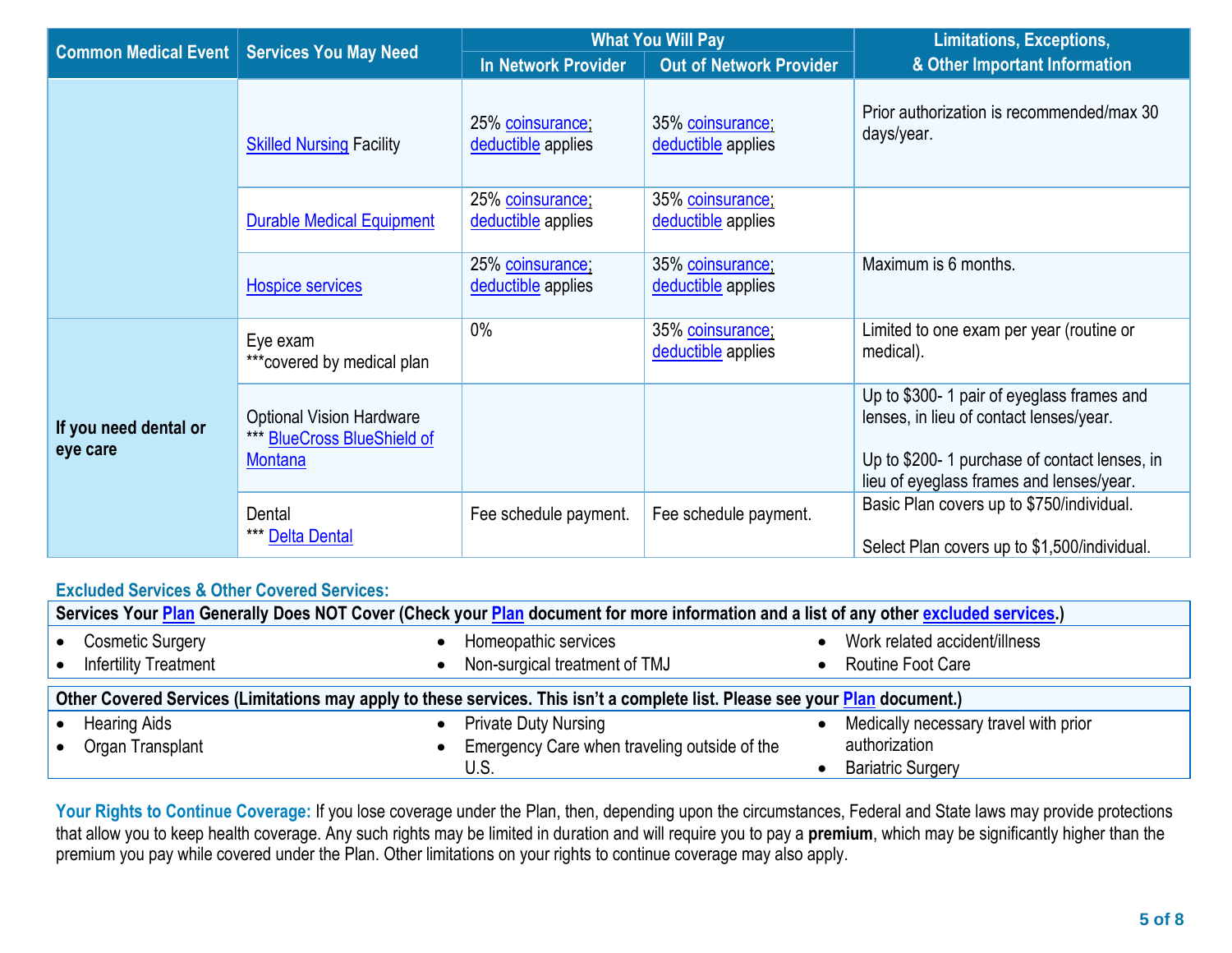|                                   |                                                                                  | <b>What You Will Pay</b>               |                                        | <b>Limitations, Exceptions,</b>                                                                                                                                                   |  |
|-----------------------------------|----------------------------------------------------------------------------------|----------------------------------------|----------------------------------------|-----------------------------------------------------------------------------------------------------------------------------------------------------------------------------------|--|
| <b>Common Medical Event</b>       | <b>Services You May Need</b>                                                     | In Network Provider                    | <b>Out of Network Provider</b>         | & Other Important Information                                                                                                                                                     |  |
|                                   | <b>Skilled Nursing Facility</b>                                                  | 25% coinsurance;<br>deductible applies | 35% coinsurance;<br>deductible applies | Prior authorization is recommended/max 30<br>days/year.                                                                                                                           |  |
|                                   | <b>Durable Medical Equipment</b>                                                 | 25% coinsurance;<br>deductible applies | 35% coinsurance;<br>deductible applies |                                                                                                                                                                                   |  |
|                                   | <b>Hospice services</b>                                                          | 25% coinsurance;<br>deductible applies | 35% coinsurance;<br>deductible applies | Maximum is 6 months.                                                                                                                                                              |  |
| If you need dental or<br>eye care | Eye exam<br>*** covered by medical plan                                          | 0%                                     | 35% coinsurance;<br>deductible applies | Limited to one exam per year (routine or<br>medical).                                                                                                                             |  |
|                                   | <b>Optional Vision Hardware</b><br>*** BlueCross BlueShield of<br><b>Montana</b> |                                        |                                        | Up to \$300- 1 pair of eyeglass frames and<br>lenses, in lieu of contact lenses/year.<br>Up to \$200-1 purchase of contact lenses, in<br>lieu of eyeglass frames and lenses/year. |  |
|                                   | Dental<br>*** Delta Dental                                                       | Fee schedule payment.                  | Fee schedule payment.                  | Basic Plan covers up to \$750/individual.<br>Select Plan covers up to \$1,500/individual.                                                                                         |  |

## **Excluded Services & Other Covered Services:**

| Services Your Plan Generally Does NOT Cover (Check your Plan document for more information and a list of any other excluded services.) |                                                       |                                                    |  |  |
|----------------------------------------------------------------------------------------------------------------------------------------|-------------------------------------------------------|----------------------------------------------------|--|--|
| <b>Cosmetic Surgery</b><br><b>Infertility Treatment</b>                                                                                | Homeopathic services<br>Non-surgical treatment of TMJ | Work related accident/illness<br>Routine Foot Care |  |  |
| Other Covered Services (Limitations may apply to these services. This isn't a complete list. Please see your Plan document.)           |                                                       |                                                    |  |  |
| <b>Hearing Aids</b>                                                                                                                    | <b>Private Duty Nursing</b>                           | Medically necessary travel with prior              |  |  |
| Organ Transplant                                                                                                                       | Emergency Care when traveling outside of the          | authorization                                      |  |  |
|                                                                                                                                        | U.S.                                                  | <b>Bariatric Surgery</b>                           |  |  |

Your Rights to Continue Coverage: If you lose coverage under the Plan, then, depending upon the circumstances, Federal and State laws may provide protections that allow you to keep health coverage. Any such rights may be limited in duration and will require you to pay a **premium**, which may be significantly higher than the premium you pay while covered under the Plan. Other limitations on your rights to continue coverage may also apply.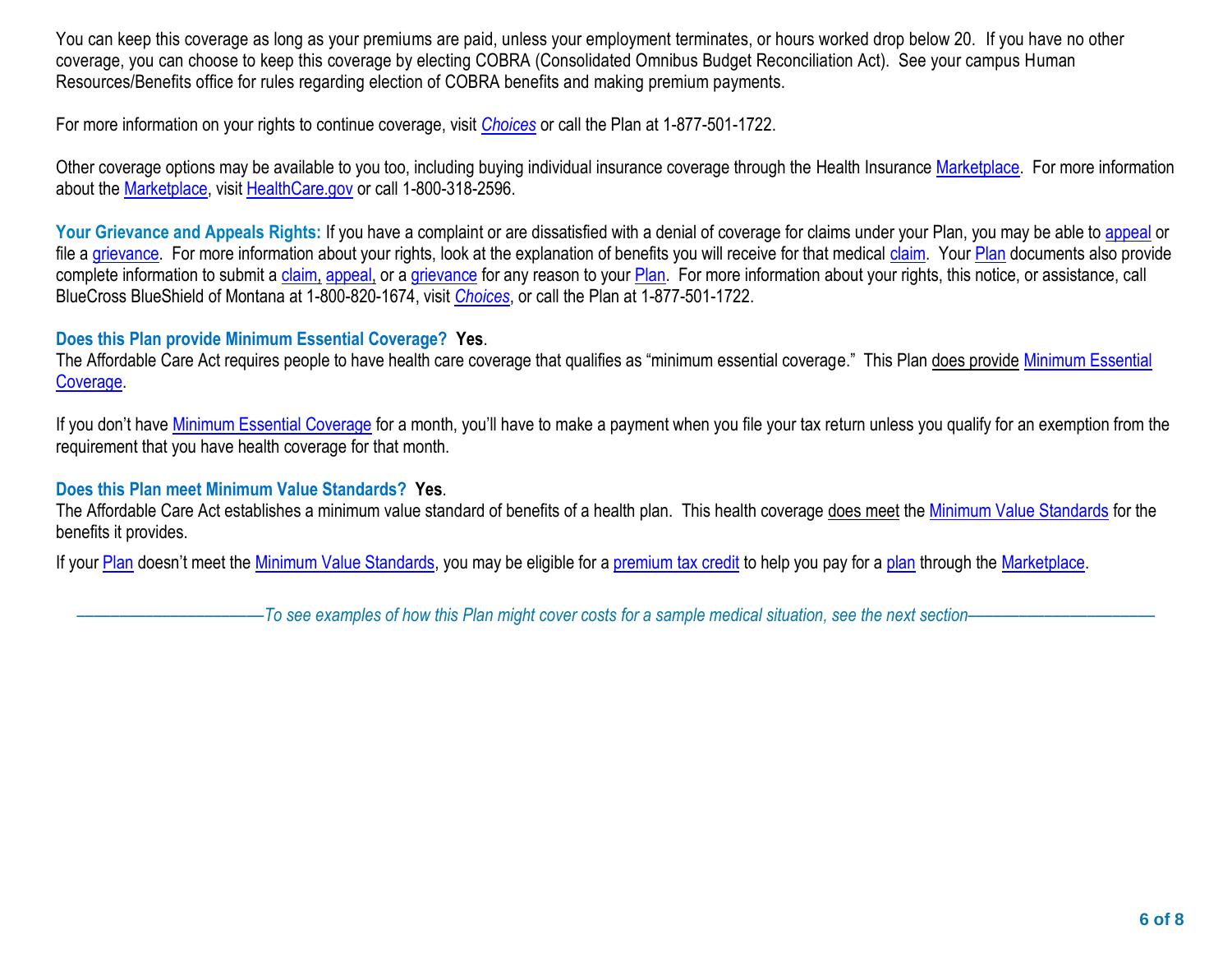You can keep this coverage as long as your premiums are paid, unless your employment terminates, or hours worked drop below 20. If you have no other coverage, you can choose to keep this coverage by electing COBRA (Consolidated Omnibus Budget Reconciliation Act). See your campus Human Resources/Benefits office for rules regarding election of COBRA benefits and making premium payments.

For more information on your rights to continue coverage, visit *[Choices](https://choices.mus.edu/)* or call the Plan at 1-877-501-1722.

Other coverage options may be available to you too, including buying individual insurance coverage through the Health Insuranc[e Marketplace.](https://www.healthcare.gov/sbc-glossary/#marketplace) For more information about the [Marketplace,](https://www.healthcare.gov/sbc-glossary/#marketplace) visit [HealthCare.gov](http://www.healthcare.gov/) or call 1-800-318-2596.

Your Grievance and Appeals Rights: If you have a complaint or are dissatisfied with a denial of coverage for claims under your Plan, you may be able to [appeal](https://www.healthcare.gov/sbc-glossary/#appeal) or file a [grievance.](https://www.healthcare.gov/sbc-glossary/#grievance) For more information about your rights, look at the explanation of benefits you will receive for that medical [claim.](https://www.healthcare.gov/sbc-glossary/#claim) Your [Plan](https://www.healthcare.gov/sbc-glossary/#plan) documents also provide complete information to submit a [claim,](https://www.healthcare.gov/sbc-glossary/#claim) [appeal,](https://www.healthcare.gov/sbc-glossary/#appeal) or a [grievance](https://www.healthcare.gov/sbc-glossary/#grievance) for any reason to your [Plan.](http://plan/) For more information about your rights, this notice, or assistance, call BlueCross BlueShield of Montana at 1-800-820-1674, visit *[Choices](https://choices.mus.edu/)*, or call the Plan at 1-877-501-1722.

## **Does this Plan provide Minimum Essential Coverage? Yes**.

The Affordable Care Act requires people to have health care coverage that qualifies as "minimum essential coverage." This Plan does provide Minimum Essential [Coverage.](https://www.healthcare.gov/sbc-glossary/#minimum-essential-coverage)

If you don't have *Minimum Essential Coverage* for a month, you'll have to make a payment when you file your tax return unless you qualify for an exemption from the requirement that you have health coverage for that month.

## **Does this Plan meet Minimum Value Standards? Yes**.

The Affordable Care Act establishes a minimum value standard of benefits of a health plan. This health coverage does meet the [Minimum Value Standards](https://www.healthcare.gov/sbc-glossary/#minimum-value-standard) for the benefits it provides.

If your <u>Plan</u> doesn't meet the <u>Minimum Value Standards</u>, you may be eligible for a <u>premium tax credit</u> to help you pay for a [plan](https://www.healthcare.gov/sbc-glossary/#plan) through the [Marketplace.](https://www.healthcare.gov/sbc-glossary/#marketplace)

––––––––––––––––––––––*To see examples of how this Plan might cover costs for a sample medical situation, see the next section–––––––––––*–––––––––––